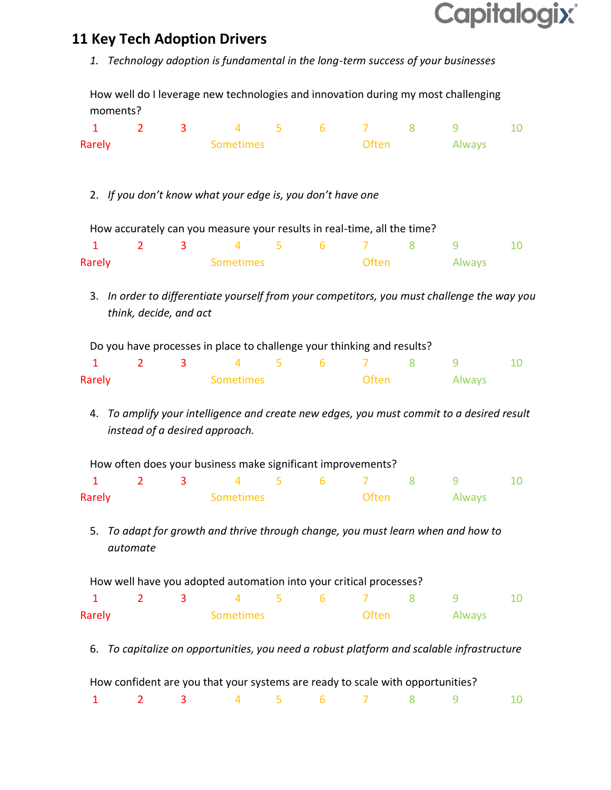## **Capitalogix®**

## **11 Key Tech Adoption Drivers**

*1. Technology adoption is fundamental in the long-term success of your businesses*

How well do I leverage new technologies and innovation during my most challenging moments?

| 1                                                                       | $\overline{2}$                                                                         | 3 | 4                                                                                           | 5 | 6               | 7            | 8      | 9      | 10 |
|-------------------------------------------------------------------------|----------------------------------------------------------------------------------------|---|---------------------------------------------------------------------------------------------|---|-----------------|--------------|--------|--------|----|
| Rarely                                                                  | <b>Sometimes</b>                                                                       |   |                                                                                             |   | Often           |              | Always |        |    |
|                                                                         |                                                                                        |   |                                                                                             |   |                 |              |        |        |    |
|                                                                         |                                                                                        |   |                                                                                             |   |                 |              |        |        |    |
|                                                                         |                                                                                        |   | 2. If you don't know what your edge is, you don't have one                                  |   |                 |              |        |        |    |
|                                                                         |                                                                                        |   |                                                                                             |   |                 |              |        |        |    |
| How accurately can you measure your results in real-time, all the time? |                                                                                        |   |                                                                                             |   |                 |              |        |        |    |
| $\mathbf{1}$                                                            | $\overline{2}$                                                                         | 3 | 4                                                                                           | 5 | $6\phantom{1}6$ | 7            | 8      | 9      | 10 |
| Rarely                                                                  |                                                                                        |   | <b>Sometimes</b>                                                                            |   |                 | <b>Often</b> |        | Always |    |
|                                                                         |                                                                                        |   |                                                                                             |   |                 |              |        |        |    |
|                                                                         |                                                                                        |   | 3. In order to differentiate yourself from your competitors, you must challenge the way you |   |                 |              |        |        |    |
|                                                                         | think, decide, and act                                                                 |   |                                                                                             |   |                 |              |        |        |    |
|                                                                         |                                                                                        |   |                                                                                             |   |                 |              |        |        |    |
|                                                                         |                                                                                        |   | Do you have processes in place to challenge your thinking and results?                      |   |                 |              |        |        |    |
| $\mathbf{1}$                                                            | $\overline{2}$                                                                         | 3 | 4                                                                                           | 5 | 6               | 7            | 8      | 9      | 10 |
| Rarely                                                                  |                                                                                        |   | <b>Sometimes</b>                                                                            |   |                 | Often        |        | Always |    |
|                                                                         |                                                                                        |   |                                                                                             |   |                 |              |        |        |    |
|                                                                         |                                                                                        |   | 4. To amplify your intelligence and create new edges, you must commit to a desired result   |   |                 |              |        |        |    |
|                                                                         |                                                                                        |   | instead of a desired approach.                                                              |   |                 |              |        |        |    |
|                                                                         |                                                                                        |   | How often does your business make significant improvements?                                 |   |                 |              |        |        |    |
| 1                                                                       | $\overline{2}$                                                                         | 3 | 4                                                                                           | 5 | 6               | 7            | 8      | 9      | 10 |
| Rarely                                                                  |                                                                                        |   | <b>Sometimes</b>                                                                            |   |                 | Often        |        | Always |    |
|                                                                         |                                                                                        |   |                                                                                             |   |                 |              |        |        |    |
|                                                                         |                                                                                        |   | 5. To adapt for growth and thrive through change, you must learn when and how to            |   |                 |              |        |        |    |
|                                                                         | automate                                                                               |   |                                                                                             |   |                 |              |        |        |    |
|                                                                         |                                                                                        |   |                                                                                             |   |                 |              |        |        |    |
|                                                                         |                                                                                        |   | How well have you adopted automation into your critical processes?                          |   |                 |              |        |        |    |
| $\mathbf{1}$                                                            | $\overline{2}$                                                                         | 3 | 4                                                                                           | 5 | 6               | 7            | 8      | 9      | 10 |
| Rarely                                                                  |                                                                                        |   | <b>Sometimes</b>                                                                            |   |                 | <b>Often</b> |        | Always |    |
|                                                                         |                                                                                        |   |                                                                                             |   |                 |              |        |        |    |
|                                                                         | To capitalize on opportunities, you need a robust platform and scalable infrastructure |   |                                                                                             |   |                 |              |        |        |    |

How confident are you that your systems are ready to scale with opportunities?

|  |  |  |  | 1 2 3 4 5 6 7 8 9 10 |  |
|--|--|--|--|----------------------|--|
|  |  |  |  |                      |  |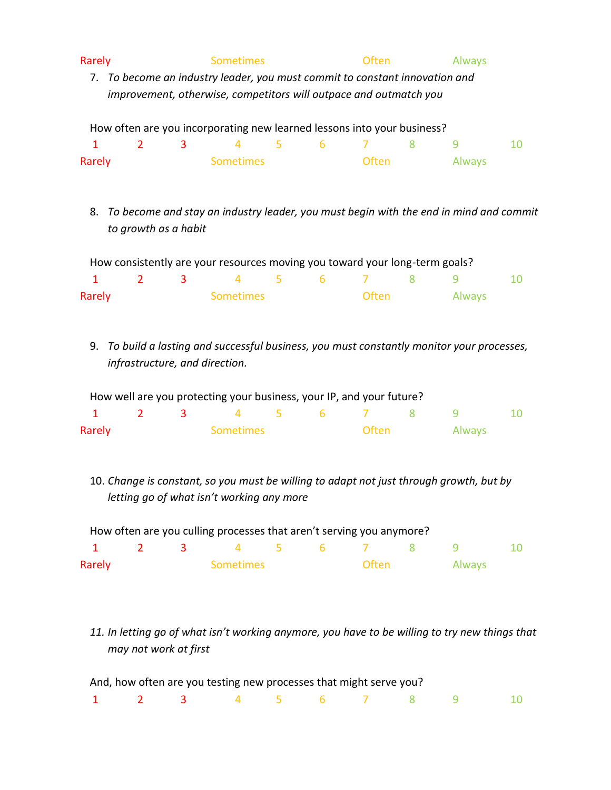| Rarely                               | <b>Sometimes</b>                                                                                                                                 | Often        | Always                                                                                         |    |  |
|--------------------------------------|--------------------------------------------------------------------------------------------------------------------------------------------------|--------------|------------------------------------------------------------------------------------------------|----|--|
|                                      | 7. To become an industry leader, you must commit to constant innovation and<br>improvement, otherwise, competitors will outpace and outmatch you |              |                                                                                                |    |  |
|                                      | How often are you incorporating new learned lessons into your business?                                                                          |              |                                                                                                |    |  |
| $\overline{2}$<br>3<br>1             | 5<br>4                                                                                                                                           | 6<br>7       | 8<br>9                                                                                         | 10 |  |
| Rarely                               | <b>Sometimes</b>                                                                                                                                 | <b>Often</b> | Always                                                                                         |    |  |
| 8.<br>to growth as a habit           |                                                                                                                                                  |              | To become and stay an industry leader, you must begin with the end in mind and commit          |    |  |
|                                      | How consistently are your resources moving you toward your long-term goals?                                                                      |              |                                                                                                |    |  |
| $\mathbf{1}$<br>$\overline{2}$<br>3  | 5<br>$\overline{4}$                                                                                                                              | 6<br>7       | 8<br>9                                                                                         | 10 |  |
| Rarely                               | <b>Sometimes</b>                                                                                                                                 | <b>Often</b> | Always                                                                                         |    |  |
| 9.<br>infrastructure, and direction. |                                                                                                                                                  |              | To build a lasting and successful business, you must constantly monitor your processes,        |    |  |
|                                      | How well are you protecting your business, your IP, and your future?                                                                             |              |                                                                                                |    |  |
| $\overline{2}$<br>1<br>3             | 4<br>5                                                                                                                                           | 6<br>7       | 8<br>9                                                                                         | 10 |  |
| Rarely                               | <b>Sometimes</b>                                                                                                                                 | <b>Often</b> | Always                                                                                         |    |  |
|                                      | letting go of what isn't working any more                                                                                                        |              | 10. Change is constant, so you must be willing to adapt not just through growth, but by        |    |  |
|                                      | How often are you culling processes that aren't serving you anymore?                                                                             |              |                                                                                                |    |  |
| $\overline{2}$<br>$\mathbf{1}$<br>3  | $\overline{4}$<br>5                                                                                                                              | 6<br>7       | 8<br>9                                                                                         | 10 |  |
| Rarely                               | <b>Sometimes</b>                                                                                                                                 | <b>Often</b> | Always                                                                                         |    |  |
| may not work at first                |                                                                                                                                                  |              | 11. In letting go of what isn't working anymore, you have to be willing to try new things that |    |  |
|                                      | And, how often are you testing new processes that might serve you?                                                                               |              |                                                                                                |    |  |

1 2 3 4 5 6 7 8 9 10